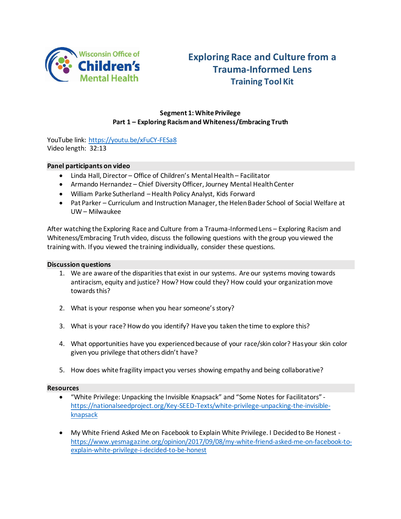

# **Exploring Race and Culture from a Trauma-Informed Lens Training Tool Kit**

# **Segment 1: White Privilege Part 1 – Exploring Racism and Whiteness/Embracing Truth**

YouTube link:<https://youtu.be/xFuCY-FESa8> Video length: 32:13

### **Panel participants on video**

- Linda Hall, Director Office of Children's Mental Health Facilitator
- Armando Hernandez Chief Diversity Officer, Journey Mental Health Center
- William Parke Sutherland –Health Policy Analyst, Kids Forward
- Pat Parker Curriculum and Instruction Manager, the Helen Bader School of Social Welfare at UW – Milwaukee

After watching the Exploring Race and Culture from a Trauma-Informed Lens – Exploring Racism and Whiteness/Embracing Truth video, discuss the following questions with the group you viewed the training with. If you viewed the training individually, consider these questions.

#### **Discussion questions**

- 1. We are aware of the disparities that exist in our systems. Are our systems moving towards antiracism, equity and justice? How? How could they? How could your organization move towards this?
- 2. What is your response when you hear someone's story?
- 3. What is your race? How do you identify? Have you taken the time to explore this?
- 4. What opportunities have you experienced because of your race/skin color? Has your skin color given you privilege that others didn't have?
- 5. How does white fragility impact you verses showing empathy and being collaborative?

### **Resources**

- "White Privilege: Unpacking the Invisible Knapsack" and "Some Notes for Facilitators" [https://nationalseedproject.org/Key-SEED-Texts/white-privilege-unpacking-the-invisible](https://nationalseedproject.org/Key-SEED-Texts/white-privilege-unpacking-the-invisible-knapsack)[knapsack](https://nationalseedproject.org/Key-SEED-Texts/white-privilege-unpacking-the-invisible-knapsack)
- My White Friend Asked Me on Facebook to Explain White Privilege. I Decided to Be Honest [https://www.yesmagazine.org/opinion/2017/09/08/my-white-friend-asked-me-on-facebook-to](https://www.yesmagazine.org/opinion/2017/09/08/my-white-friend-asked-me-on-facebook-to-explain-white-privilege-i-decided-to-be-honest)[explain-white-privilege-i-decided-to-be-honest](https://www.yesmagazine.org/opinion/2017/09/08/my-white-friend-asked-me-on-facebook-to-explain-white-privilege-i-decided-to-be-honest)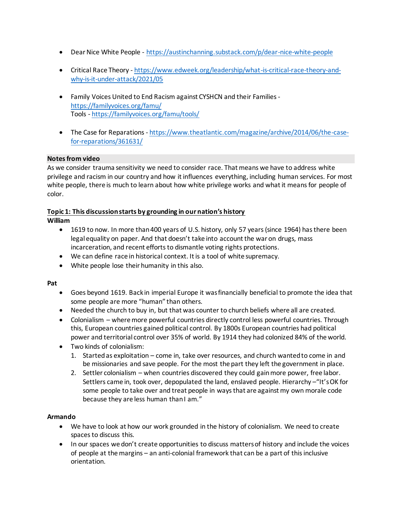- Dear Nice White People <https://austinchanning.substack.com/p/dear-nice-white-people>
- Critical Race Theory [https://www.edweek.org/leadership/what-is-critical-race-theory-and](https://www.edweek.org/leadership/what-is-critical-race-theory-and-why-is-it-under-attack/2021/05)[why-is-it-under-attack/2021/05](https://www.edweek.org/leadership/what-is-critical-race-theory-and-why-is-it-under-attack/2021/05)
- Family Voices United to End Racism against CYSHCN and their Families <https://familyvoices.org/famu/> Tools - <https://familyvoices.org/famu/tools/>
- The Case for Reparations [https://www.theatlantic.com/magazine/archive/2014/06/the-case](https://www.theatlantic.com/magazine/archive/2014/06/the-case-for-reparations/361631/)[for-reparations/361631/](https://www.theatlantic.com/magazine/archive/2014/06/the-case-for-reparations/361631/)

## **Notes from video**

As we consider trauma sensitivity we need to consider race. That means we have to address white privilege and racism in our country and how it influences everything, including human services. For most white people, there is much to learn about how white privilege works and what it means for people of color.

## **Topic 1: This discussion starts by grounding in our nation's history**

## **William**

- 1619 to now. In more than 400 years of U.S. history, only 57 years (since 1964) has there been legal equality on paper. And that doesn't take into account the war on drugs, mass incarceration, and recent efforts to dismantle voting rights protections.
- We can define race in historical context. It is a tool of white supremacy.
- White people lose their humanity in this also.

### **Pat**

- Goes beyond 1619. Back in imperial Europe it was financially beneficial to promote the idea that some people are more "human" than others.
- Needed the church to buy in, but that was counter to church beliefs where all are created.
- Colonialism where more powerful countries directly control less powerful countries. Through this, European countries gained political control. By 1800s European countries had political power and territorial control over 35% of world. By 1914 they had colonized 84% of the world.
- Two kinds of colonialism:
	- 1. Started as exploitation come in, take over resources, and church wanted to come in and be missionaries and save people. For the most the part they left the government in place.
	- 2. Settler colonialism when countries discovered they could gain more power, free labor. Settlers came in, took over, depopulated the land, enslaved people. Hierarchy –"It's OK for some people to take over and treat people in ways that are against my own morale code because they are less human than I am."

# **Armando**

- We have to look at how our work grounded in the history of colonialism. We need to create spaces to discuss this.
- In our spaces we don't create opportunities to discuss matters of history and include the voices of people at the margins – an anti-colonial framework that can be a part of this inclusive orientation.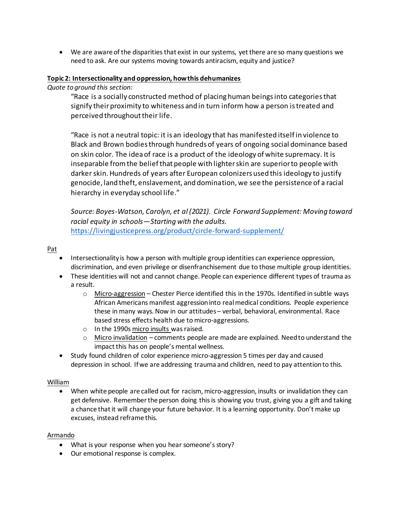We are aware of the disparities that exist in our systems, yet there are so many questions we need to ask. Are our systems moving towards antiracism, equity and justice?

#### **Topic 2: Intersectionality and oppression, how this dehumanizes**

*Quote to ground this section:* 

"Race is a socially constructed method of placing human beings into categories that signify their proximity to whiteness and in turn inform how a person is treated and perceived throughout their life.

"Race is not a neutral topic: it is an ideology that has manifested itself in violence to Black and Brown bodies through hundreds of years of ongoing social dominance based on skin color. The idea of race is a product of the ideology of white supremacy. It is inseparable from the belief that people with lighter skin are superior to people with darker skin. Hundreds of years after European colonizers used this ideology to justify genocide, land theft, enslavement, and domination, we see the persistence of a racial hierarchy in everyday school life."

*Source: Boyes-Watson, Carolyn, et al (2021). Circle Forward Supplement: Moving toward racial equity in schools—Starting with the adults.* <https://livingjusticepress.org/product/circle-forward-supplement/>

Pat

- Intersectionality is how a person with multiple group identities can experience oppression, discrimination, and even privilege or disenfranchisement due to those multiple group identities.
- These identities will not and cannot change. People can experience different types of trauma as a result.
	- $\circ$  Micro-aggression Chester Pierce identified this in the 1970s. Identified in subtle ways African Americans manifest aggression into real medical conditions. People experience these in many ways. Now in our attitudes – verbal, behavioral, environmental. Race based stress effects health due to micro-aggressions.
	- o In the 1990s micro insults was raised.
	- $\circ$  Micro invalidation comments people are made are explained. Need to understand the impact this has on people's mental wellness.
- Study found children of color experience micro-aggression 5 times per day and caused depression in school. If we are addressing trauma and children, need to pay attention to this.

### William

 When white people are called out for racism, micro-aggression, insults or invalidation they can get defensive. Remember the person doing this is showing you trust, giving you a gift and taking a chance that it will change your future behavior. It is a learning opportunity. Don't make up excuses, instead reframe this.

#### Armando

- What is your response when you hear someone's story?
- Our emotional response is complex.